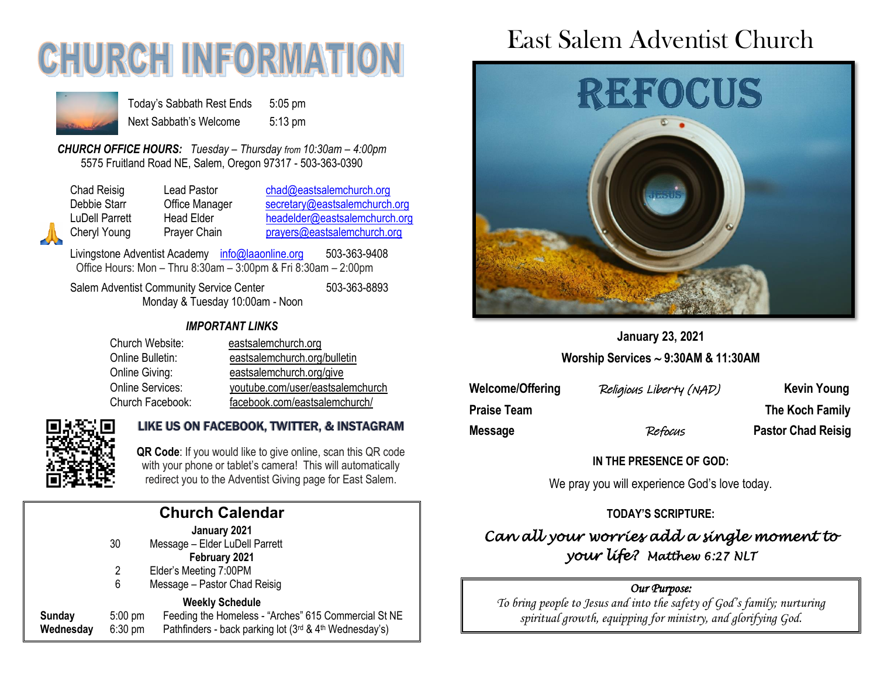# **CHURCH INFORMATION**



Today's Sabbath Rest Ends 5:05 pm Next Sabbath's Welcome 5:13 pm

*CHURCH OFFICE HOURS: Tuesday – Thursday from 10:30am – 4:00pm* 5575 Fruitland Road NE, Salem, Oregon 97317 - 503-363-0390

Chad Reisig Lead Pastor [chad@eastsalemchurch.org](mailto:chad@eastsalemchurch.org) Debbie Starr **Office Manager** [secretary@eastsalemchurch.org](mailto:secretary@eastsalemchurch.org)

LuDell Parrett Head Elder [headelder@eastsalemchurch.org](mailto:headelder@eastsalemchurch.org) Cheryl Young Prayer Chain [prayers@eastsalemchurch.org](mailto:prayers@eastsalemchurch.org)

Livingstone Adventist Academy [info@laaonline.org](mailto:info@laaonline.org) 503-363-9408 Office Hours: Mon – Thru 8:30am – 3:00pm & Fri 8:30am – 2:00pm

Salem Adventist Community Service Center 503-363-8893 Monday & Tuesday 10:00am - Noon

#### *IMPORTANT LINKS*

| Church Website:  | eastsalemchurch.org              |
|------------------|----------------------------------|
| Online Bulletin: | eastsalemchurch.org/bulletin     |
| Online Giving:   | eastsalemchurch.org/give         |
| Online Services: | youtube.com/user/eastsalemchurch |
| Church Facebook: | facebook.com/eastsalemchurch/    |



#### LIKE US ON FACEBOOK, TWITTER, & INSTAGRAM

**QR Code**: If you would like to give online, scan this QR code with your phone or tablet's camera! This will automatically redirect you to the Adventist Giving page for East Salem.

| <b>Church Calendar</b> |                                |                                                                                                                                          |  |  |
|------------------------|--------------------------------|------------------------------------------------------------------------------------------------------------------------------------------|--|--|
|                        | 30                             | January 2021<br>Message - Elder LuDell Parrett<br>February 2021                                                                          |  |  |
|                        | 2<br>6                         | Elder's Meeting 7:00PM<br>Message - Pastor Chad Reisig                                                                                   |  |  |
| Sunday<br>Wednesday    | $5:00 \text{ pm}$<br>$6:30$ pm | <b>Weekly Schedule</b><br>Feeding the Homeless - "Arches" 615 Commercial St NE<br>Pathfinders - back parking lot (3rd & 4th Wednesday's) |  |  |
|                        |                                |                                                                                                                                          |  |  |

# East Salem Adventist Church



### **January 23, 2021 Worship Services 9:30AM & 11:30AM**

| Welcome/Offering | Religious Liberty (NAD) | <b>Kevin Young</b>        |
|------------------|-------------------------|---------------------------|
| Praise Team      |                         | The Koch Family           |
| Message          | Refocus                 | <b>Pastor Chad Reisig</b> |

#### **IN THE PRESENCE OF GOD:**

We pray you will experience God's love today.

#### **TODAY'S SCRIPTURE:**

### *Can all your worries add a single moment to your life? Matthew 6:27 NLT*

#### *Our Purpose:*

*To bring people to Jesus and into the safety of God's family; nurturing spiritual growth, equipping for ministry, and glorifying God.*